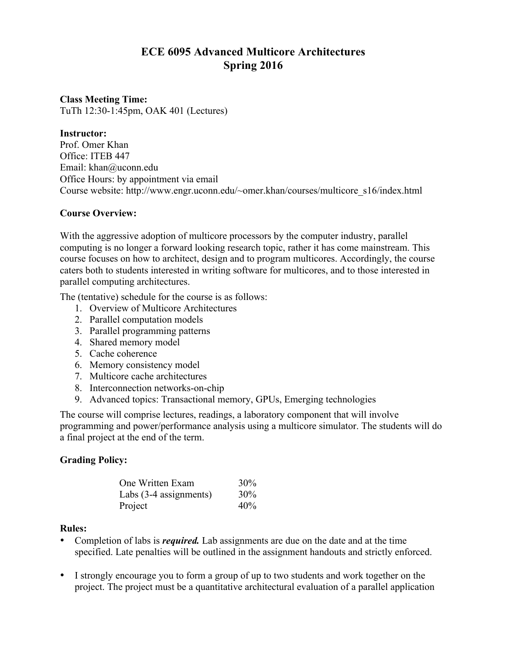# **ECE 6095 Advanced Multicore Architectures Spring 2016**

### **Class Meeting Time:** TuTh 12:30-1:45pm, OAK 401 (Lectures)

### **Instructor:**

Prof. Omer Khan Office: ITEB 447 Email: khan@uconn.edu Office Hours: by appointment via email Course website: http://www.engr.uconn.edu/~omer.khan/courses/multicore\_s16/index.html

### **Course Overview:**

With the aggressive adoption of multicore processors by the computer industry, parallel computing is no longer a forward looking research topic, rather it has come mainstream. This course focuses on how to architect, design and to program multicores. Accordingly, the course caters both to students interested in writing software for multicores, and to those interested in parallel computing architectures.

The (tentative) schedule for the course is as follows:

- 1. Overview of Multicore Architectures
- 2. Parallel computation models
- 3. Parallel programming patterns
- 4. Shared memory model
- 5. Cache coherence
- 6. Memory consistency model
- 7. Multicore cache architectures
- 8. Interconnection networks-on-chip
- 9. Advanced topics: Transactional memory, GPUs, Emerging technologies

The course will comprise lectures, readings, a laboratory component that will involve programming and power/performance analysis using a multicore simulator. The students will do a final project at the end of the term.

## **Grading Policy:**

| One Written Exam       | 30% |
|------------------------|-----|
| Labs (3-4 assignments) | 30% |
| Project                | 40% |

### **Rules:**

- Completion of labs is *required.* Lab assignments are due on the date and at the time specified. Late penalties will be outlined in the assignment handouts and strictly enforced.
- I strongly encourage you to form a group of up to two students and work together on the project. The project must be a quantitative architectural evaluation of a parallel application